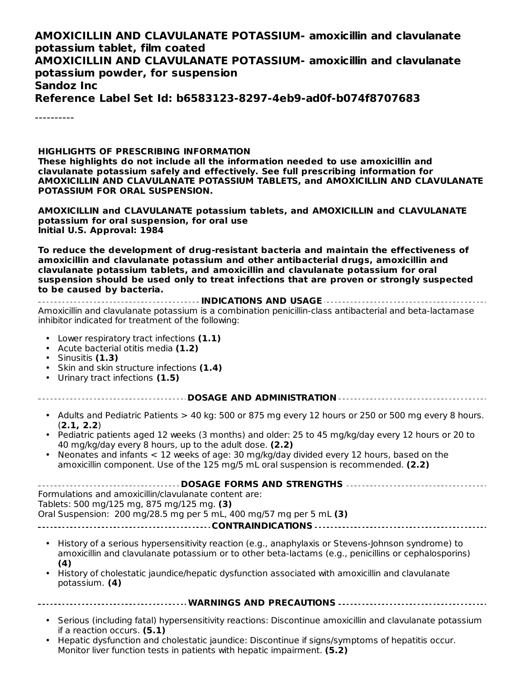#### **AMOXICILLIN AND CLAVULANATE POTASSIUM- amoxicillin and clavulanate potassium tablet, film coated AMOXICILLIN AND CLAVULANATE POTASSIUM- amoxicillin and clavulanate potassium powder, for suspension Sandoz Inc Reference Label Set Id: b6583123-8297-4eb9-ad0f-b074f8707683**

----------

#### **HIGHLIGHTS OF PRESCRIBING INFORMATION**

**These highlights do not include all the information needed to use amoxicillin and clavulanate potassium safely and effectively. See full prescribing information for AMOXICILLIN AND CLAVULANATE POTASSIUM TABLETS, and AMOXICILLIN AND CLAVULANATE POTASSIUM FOR ORAL SUSPENSION.**

**AMOXICILLIN and CLAVULANATE potassium tablets, and AMOXICILLIN and CLAVULANATE potassium for oral suspension, for oral use Initial U.S. Approval: 1984**

**To reduce the development of drug-resistant bacteria and maintain the effectiveness of amoxicillin and clavulanate potassium and other antibacterial drugs, amoxicillin and clavulanate potassium tablets, and amoxicillin and clavulanate potassium for oral suspension should be used only to treat infections that are proven or strongly suspected to be caused by bacteria.**

**INDICATIONS AND USAGE** Amoxicillin and clavulanate potassium is a combination penicillin-class antibacterial and beta‑lactamase inhibitor indicated for treatment of the following:

- Lower respiratory tract infections **(1.1)**
- Acute bacterial otitis media **(1.2)**
- Sinusitis **(1.3)**

\_ \_ \_ \_ \_ \_ \_ \_

- Skin and skin structure infections **(1.4)**
- Urinary tract infections **(1.5)**

**DOSAGE AND ADMINISTRATION**

- Adults and Pediatric Patients > 40 kg: 500 or 875 mg every 12 hours or 250 or 500 mg every 8 hours. (**2.1, 2.2**)
- Pediatric patients aged 12 weeks (3 months) and older: 25 to 45 mg/kg/day every 12 hours or 20 to 40 mg/kg/day every 8 hours, up to the adult dose. **(2.2)**
- Neonates and infants < 12 weeks of age: 30 mg/kg/day divided every 12 hours, based on the amoxicillin component. Use of the 125 mg/5 mL oral suspension is recommended. **(2.2)**

| Formulations and amoxicillin/clavulanate content are:                                                                                                                                                    |
|----------------------------------------------------------------------------------------------------------------------------------------------------------------------------------------------------------|
| Tablets: 500 mg/125 mg, 875 mg/125 mg. (3)                                                                                                                                                               |
| Oral Suspension: 200 mg/28.5 mg per 5 mL, 400 mg/57 mg per 5 mL $(3)$                                                                                                                                    |
|                                                                                                                                                                                                          |
| • History of a serious hypersensitivity reaction (e.g., anaphylaxis or Stevens-Johnson syndrome) to<br>consideration and clausure patacolum arts other beta lactame (e.g., penicilling argantaleconsing) |

- amoxicillin and clavulanate potassium or to other beta-lactams (e.g., penicillins or cephalosporins) **(4)**
- History of cholestatic jaundice/hepatic dysfunction associated with amoxicillin and clavulanate potassium. **(4)**

- Serious (including fatal) hypersensitivity reactions: Discontinue amoxicillin and clavulanate potassium if a reaction occurs. **(5.1)**
- Hepatic dysfunction and cholestatic jaundice: Discontinue if signs/symptoms of hepatitis occur. Monitor liver function tests in patients with hepatic impairment. **(5.2)**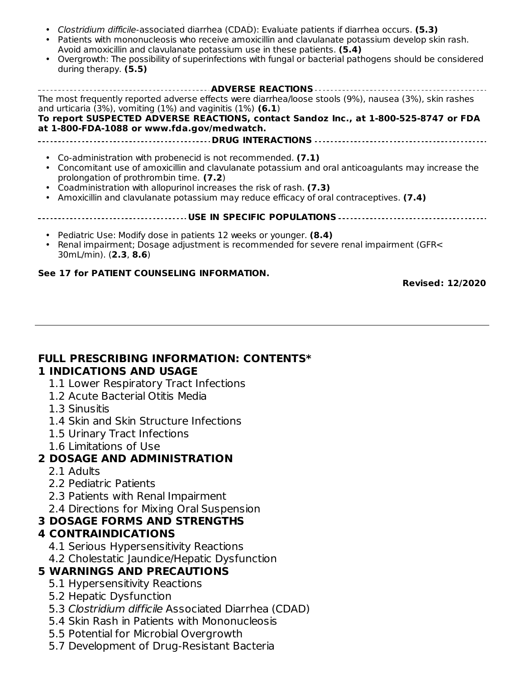- Monitor liver function tests in patients with hepatic impairment. **(5.2)** Clostridium difficile-associated diarrhea (CDAD): Evaluate patients if diarrhea occurs. **(5.3)**
- Patients with mononucleosis who receive amoxicillin and clavulanate potassium develop skin rash. Avoid amoxicillin and clavulanate potassium use in these patients. **(5.4)**
- Overgrowth: The possibility of superinfections with fungal or bacterial pathogens should be considered during therapy. **(5.5)**

| The most frequently reported adverse effects were diarrhea/loose stools (9%), nausea (3%), skin rashes<br>and urticaria (3%), vomiting (1%) and vaginitis (1%) $(6.1)$<br>To report SUSPECTED ADVERSE REACTIONS, contact Sandoz Inc., at 1-800-525-8747 or FDA<br>at 1-800-FDA-1088 or www.fda.gov/medwatch. |  |  |  |
|--------------------------------------------------------------------------------------------------------------------------------------------------------------------------------------------------------------------------------------------------------------------------------------------------------------|--|--|--|
| • Co-administration with probenecid is not recommended. (7.1)<br>• Concomitant use of amoxicillin and clavulanate potassium and oral anticoagulants may increase the<br>prolongation of prothrombin time. (7.2)                                                                                              |  |  |  |

- Coadministration with allopurinol increases the risk of rash. **(7.3)**
- Amoxicillin and clavulanate potassium may reduce efficacy of oral contraceptives. **(7.4)**

#### **USE IN SPECIFIC POPULATIONS**

- Pediatric Use: Modify dose in patients 12 weeks or younger. **(8.4)**
- Renal impairment; Dosage adjustment is recommended for severe renal impairment (GFR< 30mL/min). (**2.3**, **8.6**)

#### **See 17 for PATIENT COUNSELING INFORMATION.**

**Revised: 12/2020**

#### **FULL PRESCRIBING INFORMATION: CONTENTS\* 1 INDICATIONS AND USAGE**

- 1.1 Lower Respiratory Tract Infections
- 1.2 Acute Bacterial Otitis Media
- 1.3 Sinusitis
- 1.4 Skin and Skin Structure Infections
- 1.5 Urinary Tract Infections
- 1.6 Limitations of Use

#### **2 DOSAGE AND ADMINISTRATION**

- 2.1 Adults
- 2.2 Pediatric Patients
- 2.3 Patients with Renal Impairment
- 2.4 Directions for Mixing Oral Suspension

#### **3 DOSAGE FORMS AND STRENGTHS**

#### **4 CONTRAINDICATIONS**

- 4.1 Serious Hypersensitivity Reactions
- 4.2 Cholestatic Jaundice/Hepatic Dysfunction

#### **5 WARNINGS AND PRECAUTIONS**

- 5.1 Hypersensitivity Reactions
- 5.2 Hepatic Dysfunction
- 5.3 Clostridium difficile Associated Diarrhea (CDAD)
- 5.4 Skin Rash in Patients with Mononucleosis
- 5.5 Potential for Microbial Overgrowth
- 5.7 Development of Drug-Resistant Bacteria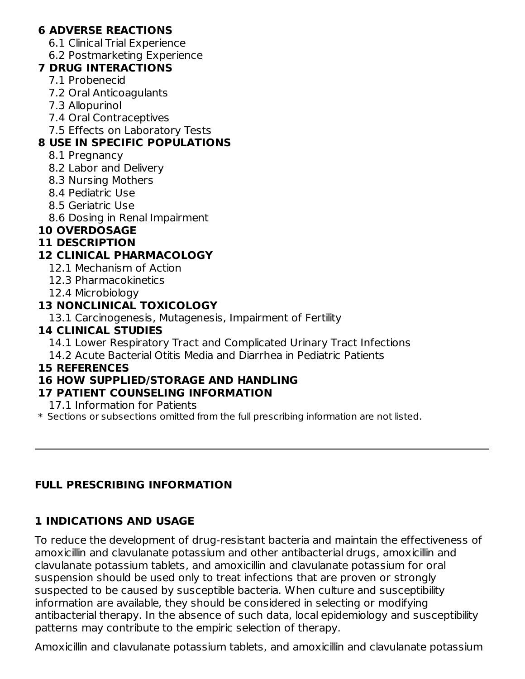#### **6 ADVERSE REACTIONS**

- 6.1 Clinical Trial Experience
- 6.2 Postmarketing Experience

#### **7 DRUG INTERACTIONS**

- 7.1 Probenecid
- 7.2 Oral Anticoagulants
- 7.3 Allopurinol
- 7.4 Oral Contraceptives
- 7.5 Effects on Laboratory Tests

## **8 USE IN SPECIFIC POPULATIONS**

- 8.1 Pregnancy
- 8.2 Labor and Delivery
- 8.3 Nursing Mothers
- 8.4 Pediatric Use
- 8.5 Geriatric Use
- 8.6 Dosing in Renal Impairment

## **10 OVERDOSAGE**

#### **11 DESCRIPTION**

## **12 CLINICAL PHARMACOLOGY**

- 12.1 Mechanism of Action
- 12.3 Pharmacokinetics
- 12.4 Microbiology

## **13 NONCLINICAL TOXICOLOGY**

13.1 Carcinogenesis, Mutagenesis, Impairment of Fertility

## **14 CLINICAL STUDIES**

14.1 Lower Respiratory Tract and Complicated Urinary Tract Infections

14.2 Acute Bacterial Otitis Media and Diarrhea in Pediatric Patients

#### **15 REFERENCES**

## **16 HOW SUPPLIED/STORAGE AND HANDLING**

#### **17 PATIENT COUNSELING INFORMATION**

17.1 Information for Patients

\* Sections or subsections omitted from the full prescribing information are not listed.

## **FULL PRESCRIBING INFORMATION**

## **1 INDICATIONS AND USAGE**

To reduce the development of drug‑resistant bacteria and maintain the effectiveness of amoxicillin and clavulanate potassium and other antibacterial drugs, amoxicillin and clavulanate potassium tablets, and amoxicillin and clavulanate potassium for oral suspension should be used only to treat infections that are proven or strongly suspected to be caused by susceptible bacteria. When culture and susceptibility information are available, they should be considered in selecting or modifying antibacterial therapy. In the absence of such data, local epidemiology and susceptibility patterns may contribute to the empiric selection of therapy.

Amoxicillin and clavulanate potassium tablets, and amoxicillin and clavulanate potassium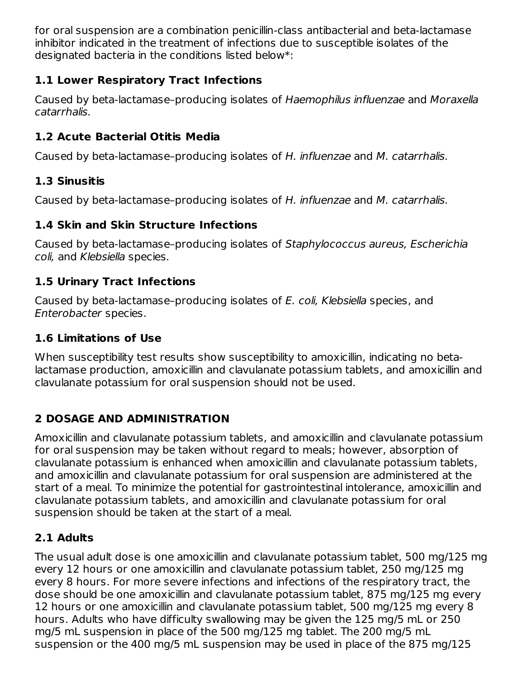for oral suspension are a combination penicillin-class antibacterial and beta-lactamase inhibitor indicated in the treatment of infections due to susceptible isolates of the designated bacteria in the conditions listed below\*:

## **1.1 Lower Respiratory Tract Infections**

Caused by beta‑lactamase–producing isolates of Haemophilus influenzae and Moraxella catarrhalis.

#### **1.2 Acute Bacterial Otitis Media**

Caused by beta-lactamase–producing isolates of H. influenzae and M. catarrhalis.

#### **1.3 Sinusitis**

Caused by beta-lactamase–producing isolates of H. influenzae and M. catarrhalis.

#### **1.4 Skin and Skin Structure Infections**

Caused by beta‑lactamase–producing isolates of Staphylococcus aureus, Escherichia coli, and Klebsiella species.

#### **1.5 Urinary Tract Infections**

Caused by beta-lactamase–producing isolates of E. coli, Klebsiella species, and Enterobacter species.

#### **1.6 Limitations of Use**

When susceptibility test results show susceptibility to amoxicillin, indicating no betalactamase production, amoxicillin and clavulanate potassium tablets, and amoxicillin and clavulanate potassium for oral suspension should not be used.

## **2 DOSAGE AND ADMINISTRATION**

Amoxicillin and clavulanate potassium tablets, and amoxicillin and clavulanate potassium for oral suspension may be taken without regard to meals; however, absorption of clavulanate potassium is enhanced when amoxicillin and clavulanate potassium tablets, and amoxicillin and clavulanate potassium for oral suspension are administered at the start of a meal. To minimize the potential for gastrointestinal intolerance, amoxicillin and clavulanate potassium tablets, and amoxicillin and clavulanate potassium for oral suspension should be taken at the start of a meal.

## **2.1 Adults**

The usual adult dose is one amoxicillin and clavulanate potassium tablet, 500 mg/125 mg every 12 hours or one amoxicillin and clavulanate potassium tablet, 250 mg/125 mg every 8 hours. For more severe infections and infections of the respiratory tract, the dose should be one amoxicillin and clavulanate potassium tablet, 875 mg/125 mg every 12 hours or one amoxicillin and clavulanate potassium tablet, 500 mg/125 mg every 8 hours. Adults who have difficulty swallowing may be given the 125 mg/5 mL or 250 mg/5 mL suspension in place of the 500 mg/125 mg tablet. The 200 mg/5 mL suspension or the 400 mg/5 mL suspension may be used in place of the 875 mg/125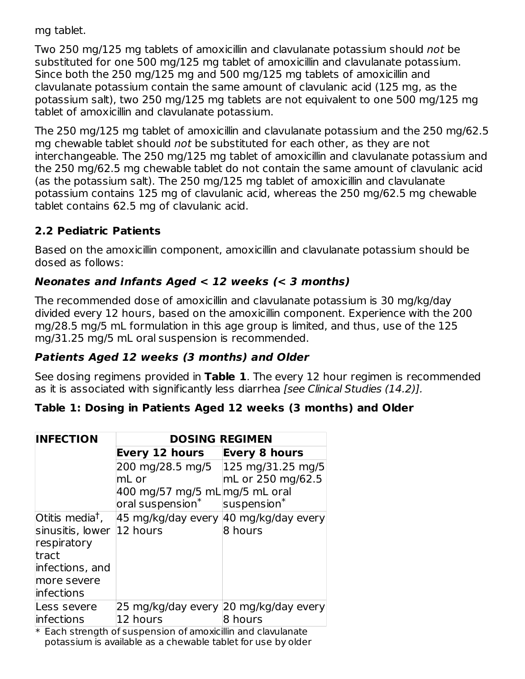mg tablet.

Two 250 mg/125 mg tablets of amoxicillin and clavulanate potassium should not be substituted for one 500 mg/125 mg tablet of amoxicillin and clavulanate potassium. Since both the 250 mg/125 mg and 500 mg/125 mg tablets of amoxicillin and clavulanate potassium contain the same amount of clavulanic acid (125 mg, as the potassium salt), two 250 mg/125 mg tablets are not equivalent to one 500 mg/125 mg tablet of amoxicillin and clavulanate potassium.

The 250 mg/125 mg tablet of amoxicillin and clavulanate potassium and the 250 mg/62.5 mg chewable tablet should not be substituted for each other, as they are not interchangeable. The 250 mg/125 mg tablet of amoxicillin and clavulanate potassium and the 250 mg/62.5 mg chewable tablet do not contain the same amount of clavulanic acid (as the potassium salt). The 250 mg/125 mg tablet of amoxicillin and clavulanate potassium contains 125 mg of clavulanic acid, whereas the 250 mg/62.5 mg chewable tablet contains 62.5 mg of clavulanic acid.

#### **2.2 Pediatric Patients**

Based on the amoxicillin component, amoxicillin and clavulanate potassium should be dosed as follows:

## **Neonates and Infants Aged < 12 weeks (< 3 months)**

The recommended dose of amoxicillin and clavulanate potassium is 30 mg/kg/day divided every 12 hours, based on the amoxicillin component. Experience with the 200 mg/28.5 mg/5 mL formulation in this age group is limited, and thus, use of the 125 mg/31.25 mg/5 mL oral suspension is recommended.

#### **Patients Aged 12 weeks (3 months) and Older**

See dosing regimens provided in **Table 1**. The every 12 hour regimen is recommended as it is associated with significantly less diarrhea [see Clinical Studies (14.2)].

#### **Table 1: Dosing in Patients Aged 12 weeks (3 months) and Older**

| <b>INFECTION</b>            | <b>DOSING REGIMEN</b>                                                         |                      |  |  |
|-----------------------------|-------------------------------------------------------------------------------|----------------------|--|--|
|                             | <b>Every 12 hours</b>                                                         | <b>Every 8 hours</b> |  |  |
|                             | 200 mg/28.5 mg/5                                                              | 125 mg/31.25 mg/5    |  |  |
|                             | mL or                                                                         | mL or 250 mg/62.5    |  |  |
|                             | 400 mg/57 mg/5 mL mg/5 mL oral<br>oral suspension*                            | $s$ uspension $^*$   |  |  |
| Otitis media <sup>†</sup> , | 45 mg/kg/day every                                                            | 40 mg/kg/day every   |  |  |
| sinusitis, lower            | 12 hours                                                                      | 8 hours              |  |  |
| respiratory                 |                                                                               |                      |  |  |
| tract                       |                                                                               |                      |  |  |
| infections, and             |                                                                               |                      |  |  |
| more severe                 |                                                                               |                      |  |  |
| linfections                 |                                                                               |                      |  |  |
| Less severe                 | 25 mg/kg/day every 20 mg/kg/day every                                         |                      |  |  |
| linfections                 | 12 hours<br>$*$ Each strongth of suspansion of amovisillin and slave languate | 8 hours              |  |  |

\* Each strength of suspension of amoxicillin and clavulanate potassium is available as a chewable tablet for use by older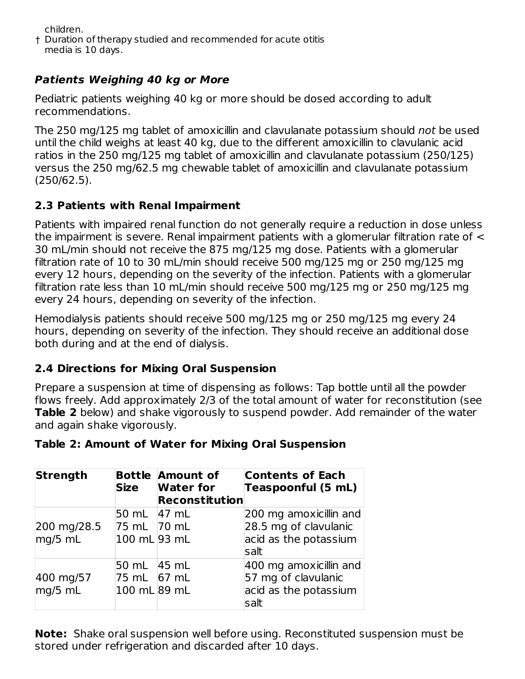children.

† Duration of therapy studied and recommended for acute otitis media is 10 days.

## **Patients Weighing 40 kg or More**

Pediatric patients weighing 40 kg or more should be dosed according to adult recommendations.

The 250 mg/125 mg tablet of amoxicillin and clavulanate potassium should not be used until the child weighs at least 40 kg, due to the different amoxicillin to clavulanic acid ratios in the 250 mg/125 mg tablet of amoxicillin and clavulanate potassium (250/125) versus the 250 mg/62.5 mg chewable tablet of amoxicillin and clavulanate potassium (250/62.5).

## **2.3 Patients with Renal Impairment**

Patients with impaired renal function do not generally require a reduction in dose unless the impairment is severe. Renal impairment patients with a glomerular filtration rate of < 30 mL/min should not receive the 875 mg/125 mg dose. Patients with a glomerular filtration rate of 10 to 30 mL/min should receive 500 mg/125 mg or 250 mg/125 mg every 12 hours, depending on the severity of the infection. Patients with a glomerular filtration rate less than 10 mL/min should receive 500 mg/125 mg or 250 mg/125 mg every 24 hours, depending on severity of the infection.

Hemodialysis patients should receive 500 mg/125 mg or 250 mg/125 mg every 24 hours, depending on severity of the infection. They should receive an additional dose both during and at the end of dialysis.

## **2.4 Directions for Mixing Oral Suspension**

Prepare a suspension at time of dispensing as follows: Tap bottle until all the powder flows freely. Add approximately 2/3 of the total amount of water for reconstitution (see **Table 2** below) and shake vigorously to suspend powder. Add remainder of the water and again shake vigorously.

| Table 2: Amount of Water for Mixing Oral Suspension |  |  |  |
|-----------------------------------------------------|--|--|--|
|-----------------------------------------------------|--|--|--|

| Strength                 | <b>Size</b>                                | <b>Bottle Amount of</b><br><b>Water for</b><br><b>Reconstitution</b> | <b>Contents of Each</b><br>Teaspoonful (5 mL)                                    |
|--------------------------|--------------------------------------------|----------------------------------------------------------------------|----------------------------------------------------------------------------------|
| 200 mg/28.5<br>$mq/5$ mL | 50 mL 47 mL<br>75 mL 70 mL<br>100 mL 93 mL |                                                                      | 200 mg amoxicillin and<br>28.5 mg of clavulanic<br>acid as the potassium<br>salt |
| 400 mg/57<br>mg/5 mL     | 50 mL 45 mL<br>75 mL<br>100 mL 89 mL       | 67 mL                                                                | 400 mg amoxicillin and<br>57 mg of clavulanic<br>acid as the potassium<br>salt   |

**Note:** Shake oral suspension well before using. Reconstituted suspension must be stored under refrigeration and discarded after 10 days.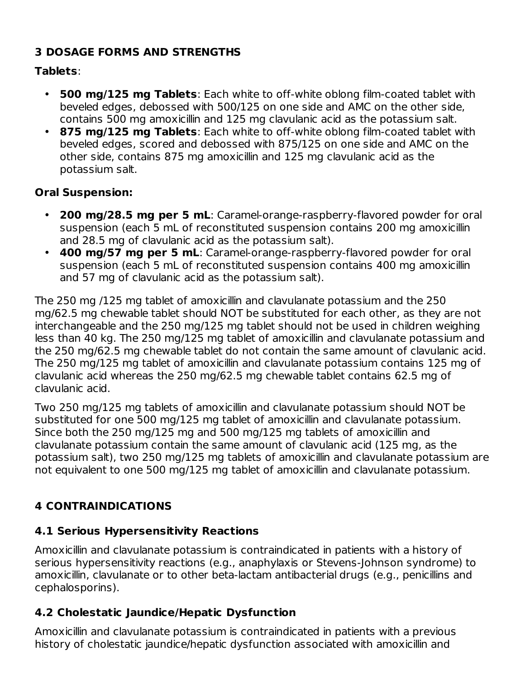#### **3 DOSAGE FORMS AND STRENGTHS**

#### **Tablets**:

- **500 mg/125 mg Tablets**: Each white to off-white oblong film-coated tablet with beveled edges, debossed with 500/125 on one side and AMC on the other side, contains 500 mg amoxicillin and 125 mg clavulanic acid as the potassium salt.
- **875 mg/125 mg Tablets**: Each white to off-white oblong film-coated tablet with beveled edges, scored and debossed with 875/125 on one side and AMC on the other side, contains 875 mg amoxicillin and 125 mg clavulanic acid as the potassium salt.

## **Oral Suspension:**

- **200 mg/28.5 mg per 5 mL**: Caramel-orange-raspberry-flavored powder for oral suspension (each 5 mL of reconstituted suspension contains 200 mg amoxicillin and 28.5 mg of clavulanic acid as the potassium salt).
- **400 mg/57 mg per 5 mL**: Caramel-orange-raspberry-flavored powder for oral suspension (each 5 mL of reconstituted suspension contains 400 mg amoxicillin and 57 mg of clavulanic acid as the potassium salt).

The 250 mg /125 mg tablet of amoxicillin and clavulanate potassium and the 250 mg/62.5 mg chewable tablet should NOT be substituted for each other, as they are not interchangeable and the 250 mg/125 mg tablet should not be used in children weighing less than 40 kg. The 250 mg/125 mg tablet of amoxicillin and clavulanate potassium and the 250 mg/62.5 mg chewable tablet do not contain the same amount of clavulanic acid. The 250 mg/125 mg tablet of amoxicillin and clavulanate potassium contains 125 mg of clavulanic acid whereas the 250 mg/62.5 mg chewable tablet contains 62.5 mg of clavulanic acid.

Two 250 mg/125 mg tablets of amoxicillin and clavulanate potassium should NOT be substituted for one 500 mg/125 mg tablet of amoxicillin and clavulanate potassium. Since both the 250 mg/125 mg and 500 mg/125 mg tablets of amoxicillin and clavulanate potassium contain the same amount of clavulanic acid (125 mg, as the potassium salt), two 250 mg/125 mg tablets of amoxicillin and clavulanate potassium are not equivalent to one 500 mg/125 mg tablet of amoxicillin and clavulanate potassium.

## **4 CONTRAINDICATIONS**

## **4.1 Serious Hypersensitivity Reactions**

Amoxicillin and clavulanate potassium is contraindicated in patients with a history of serious hypersensitivity reactions (e.g., anaphylaxis or Stevens-Johnson syndrome) to amoxicillin, clavulanate or to other beta-lactam antibacterial drugs (e.g., penicillins and cephalosporins).

## **4.2 Cholestatic Jaundice/Hepatic Dysfunction**

Amoxicillin and clavulanate potassium is contraindicated in patients with a previous history of cholestatic jaundice/hepatic dysfunction associated with amoxicillin and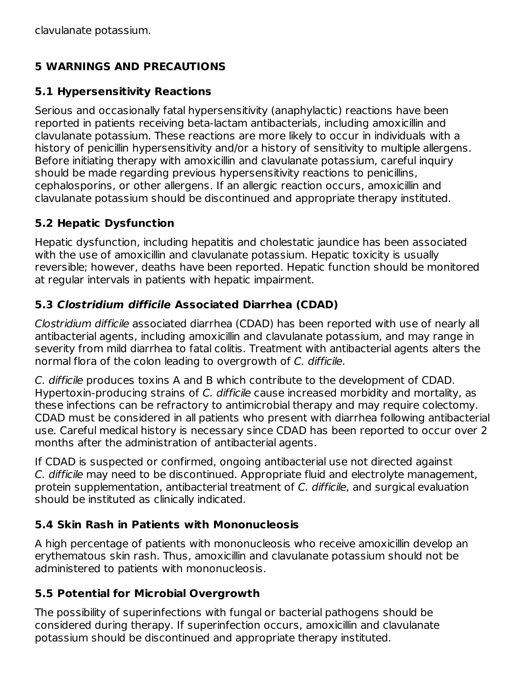## **5 WARNINGS AND PRECAUTIONS**

#### **5.1 Hypersensitivity Reactions**

Serious and occasionally fatal hypersensitivity (anaphylactic) reactions have been reported in patients receiving beta-lactam antibacterials, including amoxicillin and clavulanate potassium. These reactions are more likely to occur in individuals with a history of penicillin hypersensitivity and/or a history of sensitivity to multiple allergens. Before initiating therapy with amoxicillin and clavulanate potassium, careful inquiry should be made regarding previous hypersensitivity reactions to penicillins, cephalosporins, or other allergens. If an allergic reaction occurs, amoxicillin and clavulanate potassium should be discontinued and appropriate therapy instituted.

#### **5.2 Hepatic Dysfunction**

Hepatic dysfunction, including hepatitis and cholestatic jaundice has been associated with the use of amoxicillin and clavulanate potassium. Hepatic toxicity is usually reversible; however, deaths have been reported. Hepatic function should be monitored at regular intervals in patients with hepatic impairment.

#### **5.3 Clostridium difficile Associated Diarrhea (CDAD)**

Clostridium difficile associated diarrhea (CDAD) has been reported with use of nearly all antibacterial agents, including amoxicillin and clavulanate potassium, and may range in severity from mild diarrhea to fatal colitis. Treatment with antibacterial agents alters the normal flora of the colon leading to overgrowth of C. difficile.

C. difficile produces toxins A and B which contribute to the development of CDAD. Hypertoxin-producing strains of C. difficile cause increased morbidity and mortality, as these infections can be refractory to antimicrobial therapy and may require colectomy. CDAD must be considered in all patients who present with diarrhea following antibacterial use. Careful medical history is necessary since CDAD has been reported to occur over 2 months after the administration of antibacterial agents.

If CDAD is suspected or confirmed, ongoing antibacterial use not directed against C. difficile may need to be discontinued. Appropriate fluid and electrolyte management, protein supplementation, antibacterial treatment of C. difficile, and surgical evaluation should be instituted as clinically indicated.

## **5.4 Skin Rash in Patients with Mononucleosis**

A high percentage of patients with mononucleosis who receive amoxicillin develop an erythematous skin rash. Thus, amoxicillin and clavulanate potassium should not be administered to patients with mononucleosis.

#### **5.5 Potential for Microbial Overgrowth**

The possibility of superinfections with fungal or bacterial pathogens should be considered during therapy. If superinfection occurs, amoxicillin and clavulanate potassium should be discontinued and appropriate therapy instituted.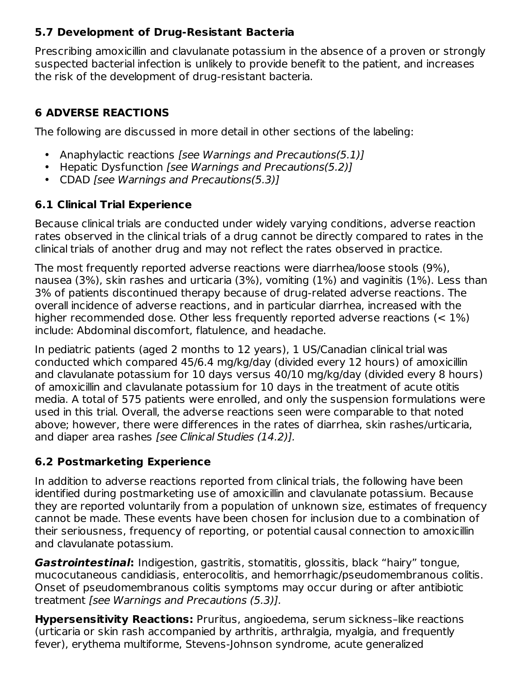#### **5.7 Development of Drug-Resistant Bacteria**

Prescribing amoxicillin and clavulanate potassium in the absence of a proven or strongly suspected bacterial infection is unlikely to provide benefit to the patient, and increases the risk of the development of drug‑resistant bacteria.

## **6 ADVERSE REACTIONS**

The following are discussed in more detail in other sections of the labeling:

- Anaphylactic reactions [see Warnings and Precautions(5.1)]
- Hepatic Dysfunction [see Warnings and Precautions(5.2)]
- CDAD [see Warnings and Precautions(5.3)]

## **6.1 Clinical Trial Experience**

Because clinical trials are conducted under widely varying conditions, adverse reaction rates observed in the clinical trials of a drug cannot be directly compared to rates in the clinical trials of another drug and may not reflect the rates observed in practice.

The most frequently reported adverse reactions were diarrhea/loose stools (9%), nausea (3%), skin rashes and urticaria (3%), vomiting (1%) and vaginitis (1%). Less than 3% of patients discontinued therapy because of drug-related adverse reactions. The overall incidence of adverse reactions, and in particular diarrhea, increased with the higher recommended dose. Other less frequently reported adverse reactions (< 1%) include: Abdominal discomfort, flatulence, and headache.

In pediatric patients (aged 2 months to 12 years), 1 US/Canadian clinical trial was conducted which compared 45/6.4 mg/kg/day (divided every 12 hours) of amoxicillin and clavulanate potassium for 10 days versus 40/10 mg/kg/day (divided every 8 hours) of amoxicillin and clavulanate potassium for 10 days in the treatment of acute otitis media. A total of 575 patients were enrolled, and only the suspension formulations were used in this trial. Overall, the adverse reactions seen were comparable to that noted above; however, there were differences in the rates of diarrhea, skin rashes/urticaria, and diaper area rashes [see Clinical Studies (14.2)].

## **6.2 Postmarketing Experience**

In addition to adverse reactions reported from clinical trials, the following have been identified during postmarketing use of amoxicillin and clavulanate potassium. Because they are reported voluntarily from a population of unknown size, estimates of frequency cannot be made. These events have been chosen for inclusion due to a combination of their seriousness, frequency of reporting, or potential causal connection to amoxicillin and clavulanate potassium.

**Gastrointestinal:** Indigestion, gastritis, stomatitis, glossitis, black "hairy" tongue, mucocutaneous candidiasis, enterocolitis, and hemorrhagic/pseudomembranous colitis. Onset of pseudomembranous colitis symptoms may occur during or after antibiotic treatment [see Warnings and Precautions (5.3)].

**Hypersensitivity Reactions:** Pruritus, angioedema, serum sickness–like reactions (urticaria or skin rash accompanied by arthritis, arthralgia, myalgia, and frequently fever), erythema multiforme, Stevens-Johnson syndrome, acute generalized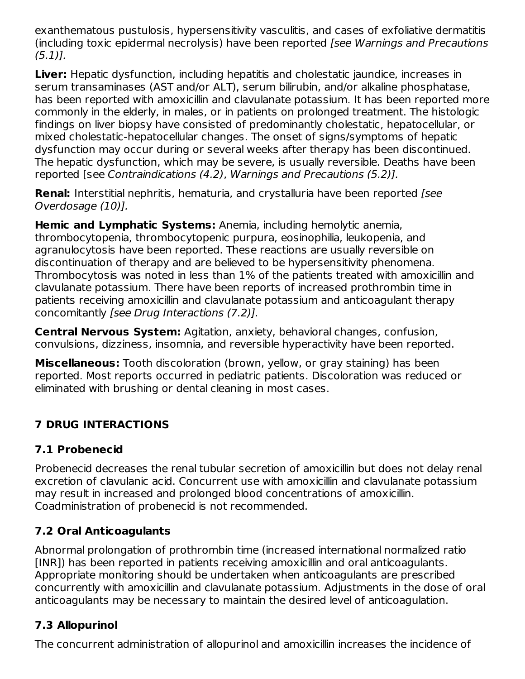exanthematous pustulosis, hypersensitivity vasculitis, and cases of exfoliative dermatitis (including toxic epidermal necrolysis) have been reported [see Warnings and Precautions (5.1)].

**Liver:** Hepatic dysfunction, including hepatitis and cholestatic jaundice, increases in serum transaminases (AST and/or ALT), serum bilirubin, and/or alkaline phosphatase, has been reported with amoxicillin and clavulanate potassium. It has been reported more commonly in the elderly, in males, or in patients on prolonged treatment. The histologic findings on liver biopsy have consisted of predominantly cholestatic, hepatocellular, or mixed cholestatic-hepatocellular changes. The onset of signs/symptoms of hepatic dysfunction may occur during or several weeks after therapy has been discontinued. The hepatic dysfunction, which may be severe, is usually reversible. Deaths have been reported [see Contraindications (4.2), Warnings and Precautions (5.2)].

**Renal:** Interstitial nephritis, hematuria, and crystalluria have been reported [see Overdosage (10)].

**Hemic and Lymphatic Systems:** Anemia, including hemolytic anemia, thrombocytopenia, thrombocytopenic purpura, eosinophilia, leukopenia, and agranulocytosis have been reported. These reactions are usually reversible on discontinuation of therapy and are believed to be hypersensitivity phenomena. Thrombocytosis was noted in less than 1% of the patients treated with amoxicillin and clavulanate potassium. There have been reports of increased prothrombin time in patients receiving amoxicillin and clavulanate potassium and anticoagulant therapy concomitantly [see Drug Interactions (7.2)].

**Central Nervous System:** Agitation, anxiety, behavioral changes, confusion, convulsions, dizziness, insomnia, and reversible hyperactivity have been reported.

**Miscellaneous:** Tooth discoloration (brown, yellow, or gray staining) has been reported. Most reports occurred in pediatric patients. Discoloration was reduced or eliminated with brushing or dental cleaning in most cases.

## **7 DRUG INTERACTIONS**

## **7.1 Probenecid**

Probenecid decreases the renal tubular secretion of amoxicillin but does not delay renal excretion of clavulanic acid. Concurrent use with amoxicillin and clavulanate potassium may result in increased and prolonged blood concentrations of amoxicillin. Coadministration of probenecid is not recommended.

## **7.2 Oral Anticoagulants**

Abnormal prolongation of prothrombin time (increased international normalized ratio [INR]) has been reported in patients receiving amoxicillin and oral anticoagulants. Appropriate monitoring should be undertaken when anticoagulants are prescribed concurrently with amoxicillin and clavulanate potassium. Adjustments in the dose of oral anticoagulants may be necessary to maintain the desired level of anticoagulation.

## **7.3 Allopurinol**

The concurrent administration of allopurinol and amoxicillin increases the incidence of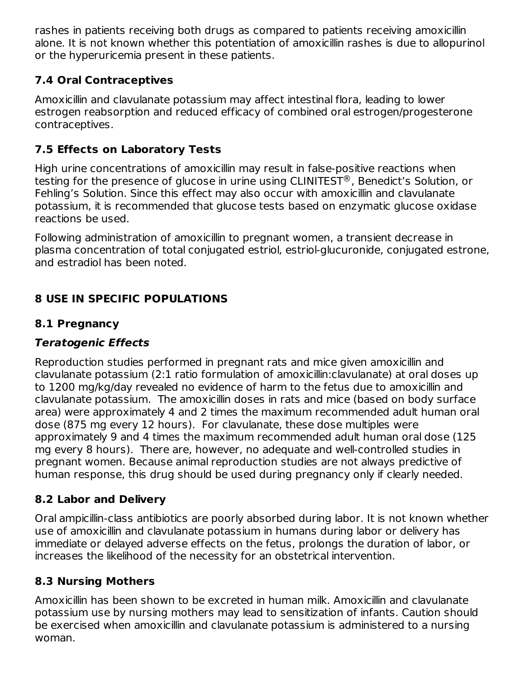rashes in patients receiving both drugs as compared to patients receiving amoxicillin alone. It is not known whether this potentiation of amoxicillin rashes is due to allopurinol or the hyperuricemia present in these patients.

## **7.4 Oral Contraceptives**

Amoxicillin and clavulanate potassium may affect intestinal flora, leading to lower estrogen reabsorption and reduced efficacy of combined oral estrogen/progesterone contraceptives.

#### **7.5 Effects on Laboratory Tests**

High urine concentrations of amoxicillin may result in false-positive reactions when testing for the presence of glucose in urine using CLINITEST®, Benedict's Solution, or Fehling's Solution. Since this effect may also occur with amoxicillin and clavulanate potassium, it is recommended that glucose tests based on enzymatic glucose oxidase reactions be used.

Following administration of amoxicillin to pregnant women, a transient decrease in plasma concentration of total conjugated estriol, estriol-glucuronide, conjugated estrone, and estradiol has been noted.

## **8 USE IN SPECIFIC POPULATIONS**

#### **8.1 Pregnancy**

#### **Teratogenic Effects**

Reproduction studies performed in pregnant rats and mice given amoxicillin and clavulanate potassium (2:1 ratio formulation of amoxicillin:clavulanate) at oral doses up to 1200 mg/kg/day revealed no evidence of harm to the fetus due to amoxicillin and clavulanate potassium. The amoxicillin doses in rats and mice (based on body surface area) were approximately 4 and 2 times the maximum recommended adult human oral dose (875 mg every 12 hours). For clavulanate, these dose multiples were approximately 9 and 4 times the maximum recommended adult human oral dose (125 mg every 8 hours). There are, however, no adequate and well-controlled studies in pregnant women. Because animal reproduction studies are not always predictive of human response, this drug should be used during pregnancy only if clearly needed.

#### **8.2 Labor and Delivery**

Oral ampicillin‑class antibiotics are poorly absorbed during labor. It is not known whether use of amoxicillin and clavulanate potassium in humans during labor or delivery has immediate or delayed adverse effects on the fetus, prolongs the duration of labor, or increases the likelihood of the necessity for an obstetrical intervention.

#### **8.3 Nursing Mothers**

Amoxicillin has been shown to be excreted in human milk. Amoxicillin and clavulanate potassium use by nursing mothers may lead to sensitization of infants. Caution should be exercised when amoxicillin and clavulanate potassium is administered to a nursing woman.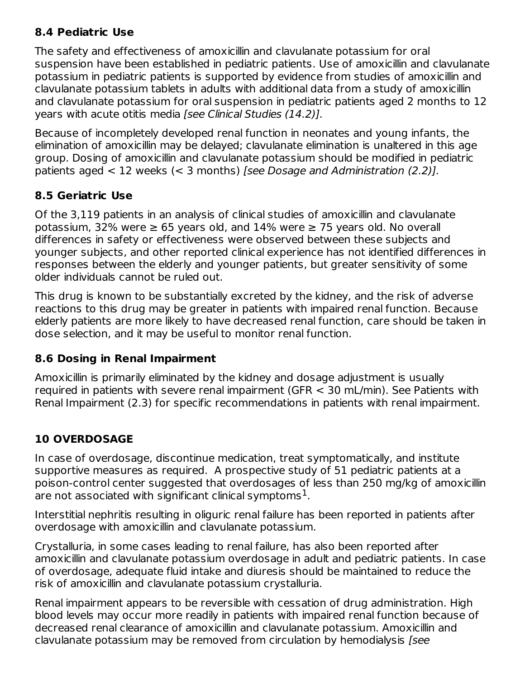#### **8.4 Pediatric Use**

The safety and effectiveness of amoxicillin and clavulanate potassium for oral suspension have been established in pediatric patients. Use of amoxicillin and clavulanate potassium in pediatric patients is supported by evidence from studies of amoxicillin and clavulanate potassium tablets in adults with additional data from a study of amoxicillin and clavulanate potassium for oral suspension in pediatric patients aged 2 months to 12 years with acute otitis media [see Clinical Studies (14.2)].

Because of incompletely developed renal function in neonates and young infants, the elimination of amoxicillin may be delayed; clavulanate elimination is unaltered in this age group. Dosing of amoxicillin and clavulanate potassium should be modified in pediatric patients aged  $<$  12 weeks ( $<$  3 months) [see Dosage and Administration (2.2)].

#### **8.5 Geriatric Use**

Of the 3,119 patients in an analysis of clinical studies of amoxicillin and clavulanate potassium, 32% were  $\geq 65$  years old, and 14% were  $\geq 75$  years old. No overall differences in safety or effectiveness were observed between these subjects and younger subjects, and other reported clinical experience has not identified differences in responses between the elderly and younger patients, but greater sensitivity of some older individuals cannot be ruled out.

This drug is known to be substantially excreted by the kidney, and the risk of adverse reactions to this drug may be greater in patients with impaired renal function. Because elderly patients are more likely to have decreased renal function, care should be taken in dose selection, and it may be useful to monitor renal function.

#### **8.6 Dosing in Renal Impairment**

Amoxicillin is primarily eliminated by the kidney and dosage adjustment is usually required in patients with severe renal impairment (GFR < 30 mL/min). See Patients with Renal Impairment (2.3) for specific recommendations in patients with renal impairment.

## **10 OVERDOSAGE**

In case of overdosage, discontinue medication, treat symptomatically, and institute supportive measures as required. A prospective study of 51 pediatric patients at a poison-control center suggested that overdosages of less than 250 mg/kg of amoxicillin are not associated with significant clinical symptoms $^{\rm 1}.$ 

Interstitial nephritis resulting in oliguric renal failure has been reported in patients after overdosage with amoxicillin and clavulanate potassium.

Crystalluria, in some cases leading to renal failure, has also been reported after amoxicillin and clavulanate potassium overdosage in adult and pediatric patients. In case of overdosage, adequate fluid intake and diuresis should be maintained to reduce the risk of amoxicillin and clavulanate potassium crystalluria.

Renal impairment appears to be reversible with cessation of drug administration. High blood levels may occur more readily in patients with impaired renal function because of decreased renal clearance of amoxicillin and clavulanate potassium. Amoxicillin and clavulanate potassium may be removed from circulation by hemodialysis [see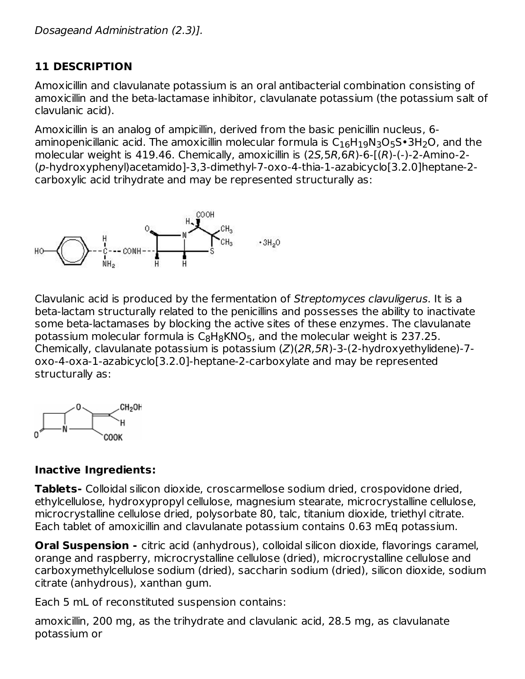## **11 DESCRIPTION**

Amoxicillin and clavulanate potassium is an oral antibacterial combination consisting of amoxicillin and the beta-lactamase inhibitor, clavulanate potassium (the potassium salt of clavulanic acid).

Amoxicillin is an analog of ampicillin, derived from the basic penicillin nucleus, 6 aminopenicillanic acid. The amoxicillin molecular formula is  $\mathsf{C}_{16}\mathsf{H}_{19}\mathsf{N}_3\mathsf{O}_5\mathsf{S}\bullet$ 3H $_2$ O, and the molecular weight is 419.46. Chemically, amoxicillin is (2S,5R,6R)-6-[(R)-(-)-2-Amino-2- (p-hydroxyphenyl)acetamido]-3,3-dimethyl-7-oxo-4-thia-1-azabicyclo[3.2.0]heptane-2 carboxylic acid trihydrate and may be represented structurally as:



Clavulanic acid is produced by the fermentation of Streptomyces clavuligerus. It is a beta-lactam structurally related to the penicillins and possesses the ability to inactivate some beta-lactamases by blocking the active sites of these enzymes. The clavulanate potassium molecular formula is  $\mathsf{C}_8\mathsf{H}_8\mathsf{KNO}_5$ , and the molecular weight is 237.25. Chemically, clavulanate potassium is potassium (Z)(2R,5R)-3-(2-hydroxyethylidene)-7 oxo-4-oxa-1-azabicyclo[3.2.0]-heptane-2-carboxylate and may be represented structurally as:



## **Inactive Ingredients:**

**Tablets-** Colloidal silicon dioxide, croscarmellose sodium dried, crospovidone dried, ethylcellulose, hydroxypropyl cellulose, magnesium stearate, microcrystalline cellulose, microcrystalline cellulose dried, polysorbate 80, talc, titanium dioxide, triethyl citrate. Each tablet of amoxicillin and clavulanate potassium contains 0.63 mEq potassium.

**Oral Suspension -** citric acid (anhydrous), colloidal silicon dioxide, flavorings caramel, orange and raspberry, microcrystalline cellulose (dried), microcrystalline cellulose and carboxymethylcellulose sodium (dried), saccharin sodium (dried), silicon dioxide, sodium citrate (anhydrous), xanthan gum.

Each 5 mL of reconstituted suspension contains:

amoxicillin, 200 mg, as the trihydrate and clavulanic acid, 28.5 mg, as clavulanate potassium or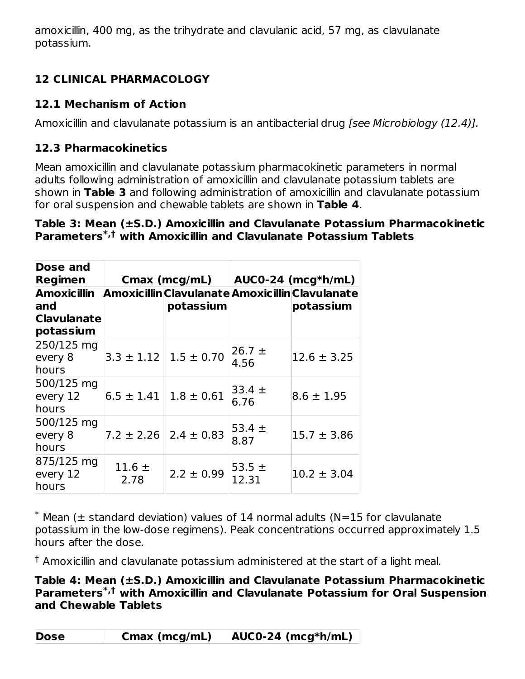amoxicillin, 400 mg, as the trihydrate and clavulanic acid, 57 mg, as clavulanate potassium.

## **12 CLINICAL PHARMACOLOGY**

## **12.1 Mechanism of Action**

Amoxicillin and clavulanate potassium is an antibacterial drug *[see Microbiology (12.4)].* 

## **12.3 Pharmacokinetics**

Mean amoxicillin and clavulanate potassium pharmacokinetic parameters in normal adults following administration of amoxicillin and clavulanate potassium tablets are shown in **Table 3** and following administration of amoxicillin and clavulanate potassium for oral suspension and chewable tablets are shown in **Table 4**.

#### **Table 3: Mean (±S.D.) Amoxicillin and Clavulanate Potassium Pharmacokinetic Parameters with Amoxicillin and Clavulanate Potassium Tablets \*,†**

| Dose and<br>Regimen                     |                    |                               | Cmax (mcg/mL) $ AUC0-24$ (mcg*h/mL) |                                                                          |  |
|-----------------------------------------|--------------------|-------------------------------|-------------------------------------|--------------------------------------------------------------------------|--|
| land<br><b>Clavulanate</b><br>potassium |                    | potassium                     |                                     | Amoxicillin Amoxicillin Clavulanate Amoxicillin Clavulanate<br>potassium |  |
| 250/125 mg<br>every 8<br>hours          |                    | $3.3 \pm 1.12$ 1.5 $\pm$ 0.70 | $ 26.7 \pm$<br>4.56                 | $12.6 \pm 3.25$                                                          |  |
| 500/125 mg<br>every 12<br>hours         | $6.5 \pm 1.41$     | $1.8 \pm 0.61$                | $33.4 \pm$<br>6.76                  | $8.6 \pm 1.95$                                                           |  |
| 500/125 mg<br>every 8<br>hours          | $7.2 \pm 2.26$     | $2.4 \pm 0.83$                | $153.4 \pm$<br>8.87                 | $15.7 \pm 3.86$                                                          |  |
| 875/125 mg<br>every $12$<br>hours       | 11.6 $\pm$<br>2.78 | $2.2 \pm 0.99$                | $53.5 \pm$<br>12.31                 | $10.2 \pm 3.04$                                                          |  |

 $*$  Mean ( $\pm$  standard deviation) values of 14 normal adults (N=15 for clavulanate potassium in the low-dose regimens). Peak concentrations occurred approximately 1.5 hours after the dose.

 $\dagger$  Amoxicillin and clavulanate potassium administered at the start of a light meal.

#### **Table 4: Mean (±S.D.) Amoxicillin and Clavulanate Potassium Pharmacokinetic Parameters with Amoxicillin and Clavulanate Potassium for Oral Suspension \*,†and Chewable Tablets**

| <b>Dose</b> | Cmax (mcg/mL) | $AUCO-24$ (mcg*h/mL) |
|-------------|---------------|----------------------|
|             |               |                      |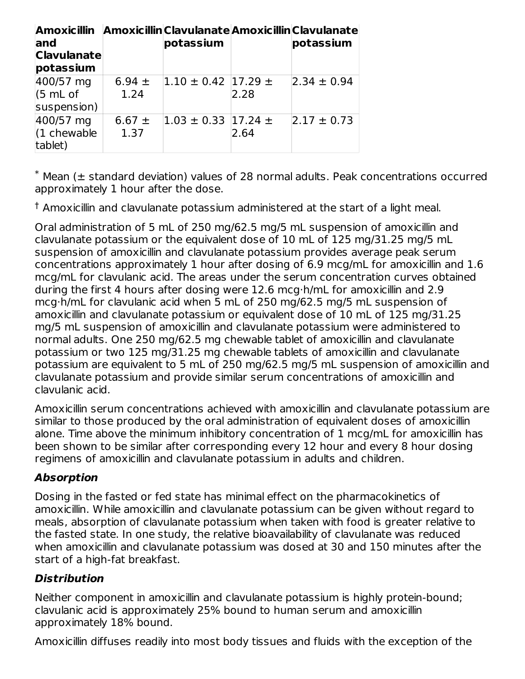| Amoxicillin Amoxicillin Clavulanate Amoxicillin Clavulanate |            |                            |      |                 |
|-------------------------------------------------------------|------------|----------------------------|------|-----------------|
| land                                                        |            | potassium                  |      | potassium       |
| <b>Clavulanate</b>                                          |            |                            |      |                 |
| potassium                                                   |            |                            |      |                 |
| 400/57 mg                                                   | 6.94 $\pm$ | $ 1.10 \pm 0.42 17.29 \pm$ |      | $2.34 \pm 0.94$ |
| (5 mL of                                                    | 1.24       |                            | 2.28 |                 |
| suspension)                                                 |            |                            |      |                 |
| 400/57 mg                                                   | 6.67 $\pm$ | $ 1.03 \pm 0.33 17.24 \pm$ |      | $2.17 \pm 0.73$ |
| $(1$ chewable                                               | 1.37       |                            | 2.64 |                 |
| tablet)                                                     |            |                            |      |                 |

 $*$  Mean ( $\pm$  standard deviation) values of 28 normal adults. Peak concentrations occurred approximately 1 hour after the dose.

 $\dagger$  Amoxicillin and clavulanate potassium administered at the start of a light meal.

Oral administration of 5 mL of 250 mg/62.5 mg/5 mL suspension of amoxicillin and clavulanate potassium or the equivalent dose of 10 mL of 125 mg/31.25 mg/5 mL suspension of amoxicillin and clavulanate potassium provides average peak serum concentrations approximately 1 hour after dosing of 6.9 mcg/mL for amoxicillin and 1.6 mcg/mL for clavulanic acid. The areas under the serum concentration curves obtained during the first 4 hours after dosing were 12.6 mcg·h/mL for amoxicillin and 2.9 mcg·h/mL for clavulanic acid when 5 mL of 250 mg/62.5 mg/5 mL suspension of amoxicillin and clavulanate potassium or equivalent dose of 10 mL of 125 mg/31.25 mg/5 mL suspension of amoxicillin and clavulanate potassium were administered to normal adults. One 250 mg/62.5 mg chewable tablet of amoxicillin and clavulanate potassium or two 125 mg/31.25 mg chewable tablets of amoxicillin and clavulanate potassium are equivalent to 5 mL of 250 mg/62.5 mg/5 mL suspension of amoxicillin and clavulanate potassium and provide similar serum concentrations of amoxicillin and clavulanic acid.

Amoxicillin serum concentrations achieved with amoxicillin and clavulanate potassium are similar to those produced by the oral administration of equivalent doses of amoxicillin alone. Time above the minimum inhibitory concentration of 1 mcg/mL for amoxicillin has been shown to be similar after corresponding every 12 hour and every 8 hour dosing regimens of amoxicillin and clavulanate potassium in adults and children.

## **Absorption**

Dosing in the fasted or fed state has minimal effect on the pharmacokinetics of amoxicillin. While amoxicillin and clavulanate potassium can be given without regard to meals, absorption of clavulanate potassium when taken with food is greater relative to the fasted state. In one study, the relative bioavailability of clavulanate was reduced when amoxicillin and clavulanate potassium was dosed at 30 and 150 minutes after the start of a high-fat breakfast.

## **Distribution**

Neither component in amoxicillin and clavulanate potassium is highly protein-bound; clavulanic acid is approximately 25% bound to human serum and amoxicillin approximately 18% bound.

Amoxicillin diffuses readily into most body tissues and fluids with the exception of the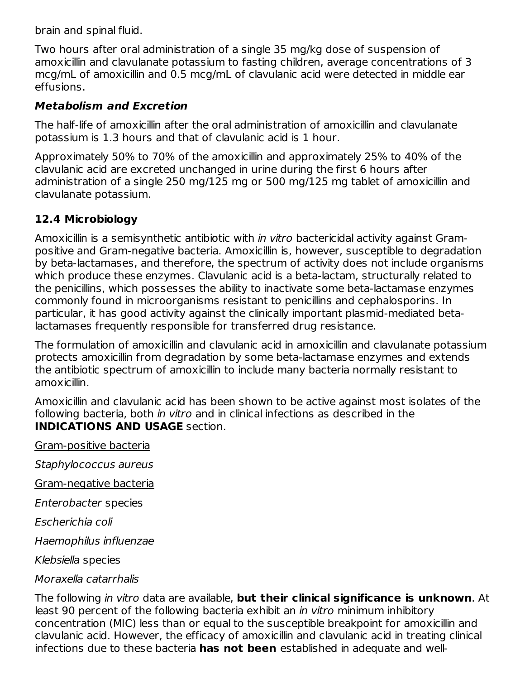brain and spinal fluid.

Two hours after oral administration of a single 35 mg/kg dose of suspension of amoxicillin and clavulanate potassium to fasting children, average concentrations of 3 mcg/mL of amoxicillin and 0.5 mcg/mL of clavulanic acid were detected in middle ear effusions.

#### **Metabolism and Excretion**

The half-life of amoxicillin after the oral administration of amoxicillin and clavulanate potassium is 1.3 hours and that of clavulanic acid is 1 hour.

Approximately 50% to 70% of the amoxicillin and approximately 25% to 40% of the clavulanic acid are excreted unchanged in urine during the first 6 hours after administration of a single 250 mg/125 mg or 500 mg/125 mg tablet of amoxicillin and clavulanate potassium.

#### **12.4 Microbiology**

Amoxicillin is a semisynthetic antibiotic with in vitro bactericidal activity against Grampositive and Gram-negative bacteria. Amoxicillin is, however, susceptible to degradation by beta-lactamases, and therefore, the spectrum of activity does not include organisms which produce these enzymes. Clavulanic acid is a beta-lactam, structurally related to the penicillins, which possesses the ability to inactivate some beta-lactamase enzymes commonly found in microorganisms resistant to penicillins and cephalosporins. In particular, it has good activity against the clinically important plasmid-mediated betalactamases frequently responsible for transferred drug resistance.

The formulation of amoxicillin and clavulanic acid in amoxicillin and clavulanate potassium protects amoxicillin from degradation by some beta-lactamase enzymes and extends the antibiotic spectrum of amoxicillin to include many bacteria normally resistant to amoxicillin.

Amoxicillin and clavulanic acid has been shown to be active against most isolates of the following bacteria, both *in vitro* and in clinical infections as described in the **INDICATIONS AND USAGE** section.

Gram-positive bacteria

Staphylococcus aureus

Gram-negative bacteria

Enterobacter species

Escherichia coli

Haemophilus influenzae

Klebsiella species

#### Moraxella catarrhalis

The following in vitro data are available, **but their clinical significance is unknown**. At least 90 percent of the following bacteria exhibit an *in vitro* minimum inhibitory concentration (MIC) less than or equal to the susceptible breakpoint for amoxicillin and clavulanic acid. However, the efficacy of amoxicillin and clavulanic acid in treating clinical infections due to these bacteria **has not been** established in adequate and well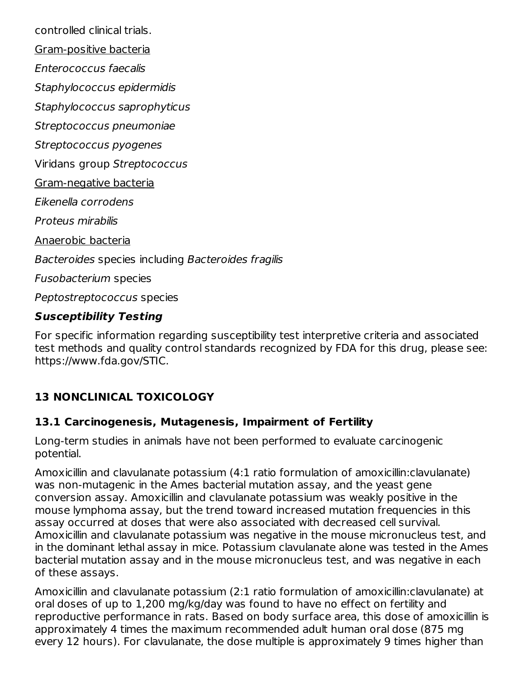controlled clinical trials.

Gram-positive bacteria

Enterococcus faecalis

Staphylococcus epidermidis

Staphylococcus saprophyticus

Streptococcus pneumoniae

Streptococcus pyogenes

Viridans group Streptococcus

Gram-negative bacteria

Eikenella corrodens

Proteus mirabilis

Anaerobic bacteria

Bacteroides species including Bacteroides fragilis

Fusobacterium species

Peptostreptococcus species

#### **Susceptibility Testing**

For specific information regarding susceptibility test interpretive criteria and associated test methods and quality control standards recognized by FDA for this drug, please see: https://www.fda.gov/STIC.

## **13 NONCLINICAL TOXICOLOGY**

#### **13.1 Carcinogenesis, Mutagenesis, Impairment of Fertility**

Long-term studies in animals have not been performed to evaluate carcinogenic potential.

Amoxicillin and clavulanate potassium (4:1 ratio formulation of amoxicillin:clavulanate) was non-mutagenic in the Ames bacterial mutation assay, and the yeast gene conversion assay. Amoxicillin and clavulanate potassium was weakly positive in the mouse lymphoma assay, but the trend toward increased mutation frequencies in this assay occurred at doses that were also associated with decreased cell survival. Amoxicillin and clavulanate potassium was negative in the mouse micronucleus test, and in the dominant lethal assay in mice. Potassium clavulanate alone was tested in the Ames bacterial mutation assay and in the mouse micronucleus test, and was negative in each of these assays.

Amoxicillin and clavulanate potassium (2:1 ratio formulation of amoxicillin:clavulanate) at oral doses of up to 1,200 mg/kg/day was found to have no effect on fertility and reproductive performance in rats. Based on body surface area, this dose of amoxicillin is approximately 4 times the maximum recommended adult human oral dose (875 mg every 12 hours). For clavulanate, the dose multiple is approximately 9 times higher than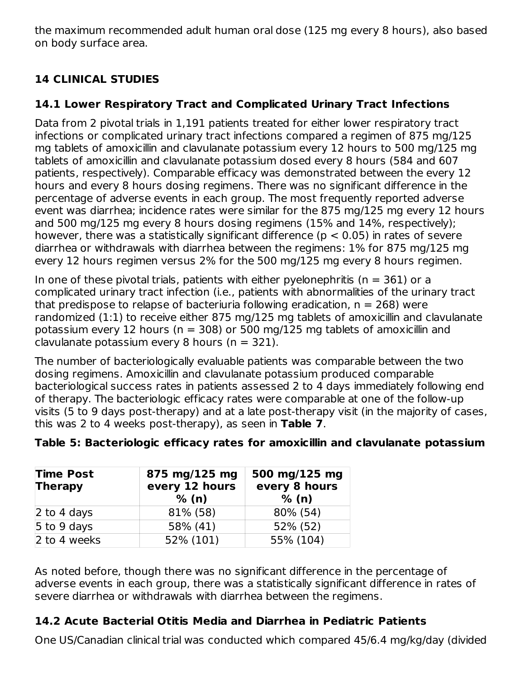the maximum recommended adult human oral dose (125 mg every 8 hours), also based on body surface area.

## **14 CLINICAL STUDIES**

## **14.1 Lower Respiratory Tract and Complicated Urinary Tract Infections**

Data from 2 pivotal trials in 1,191 patients treated for either lower respiratory tract infections or complicated urinary tract infections compared a regimen of 875 mg/125 mg tablets of amoxicillin and clavulanate potassium every 12 hours to 500 mg/125 mg tablets of amoxicillin and clavulanate potassium dosed every 8 hours (584 and 607 patients, respectively). Comparable efficacy was demonstrated between the every 12 hours and every 8 hours dosing regimens. There was no significant difference in the percentage of adverse events in each group. The most frequently reported adverse event was diarrhea; incidence rates were similar for the 875 mg/125 mg every 12 hours and 500 mg/125 mg every 8 hours dosing regimens (15% and 14%, respectively); however, there was a statistically significant difference ( $p < 0.05$ ) in rates of severe diarrhea or withdrawals with diarrhea between the regimens: 1% for 875 mg/125 mg every 12 hours regimen versus 2% for the 500 mg/125 mg every 8 hours regimen.

In one of these pivotal trials, patients with either pyelonephritis ( $n = 361$ ) or a complicated urinary tract infection (i.e., patients with abnormalities of the urinary tract that predispose to relapse of bacteriuria following eradication,  $n = 268$ ) were randomized (1:1) to receive either 875 mg/125 mg tablets of amoxicillin and clavulanate potassium every 12 hours ( $n = 308$ ) or 500 mg/125 mg tablets of amoxicillin and clavulanate potassium every 8 hours ( $n = 321$ ).

The number of bacteriologically evaluable patients was comparable between the two dosing regimens. Amoxicillin and clavulanate potassium produced comparable bacteriological success rates in patients assessed 2 to 4 days immediately following end of therapy. The bacteriologic efficacy rates were comparable at one of the follow-up visits (5 to 9 days post-therapy) and at a late post-therapy visit (in the majority of cases, this was 2 to 4 weeks post-therapy), as seen in **Table 7**.

| <b>Time Post</b><br><b>Therapy</b> | 875 mg/125 mg<br>every 12 hours<br>% (n) | 500 mg/125 mg<br>every 8 hours<br>% (n) |  |  |
|------------------------------------|------------------------------------------|-----------------------------------------|--|--|
| 2 to 4 days                        | 81% (58)                                 | 80% (54)                                |  |  |
| 5 to 9 days                        | 58% (41)                                 | 52% (52)                                |  |  |
| 2 to 4 weeks                       | 52% (101)                                | 55% (104)                               |  |  |

As noted before, though there was no significant difference in the percentage of adverse events in each group, there was a statistically significant difference in rates of severe diarrhea or withdrawals with diarrhea between the regimens.

## **14.2 Acute Bacterial Otitis Media and Diarrhea in Pediatric Patients**

One US/Canadian clinical trial was conducted which compared 45/6.4 mg/kg/day (divided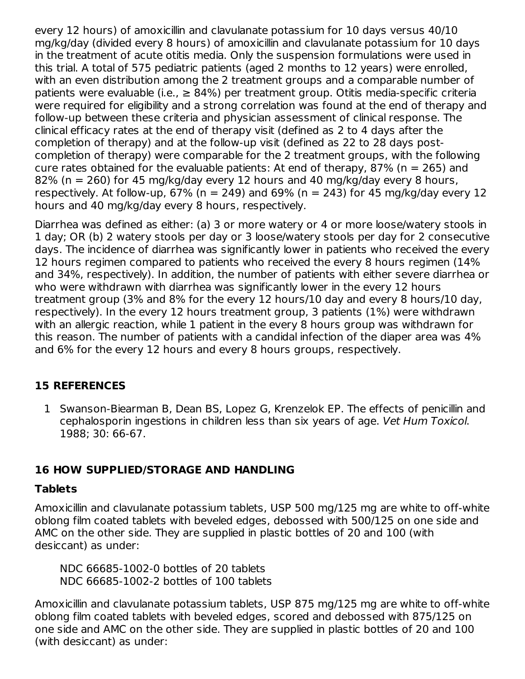every 12 hours) of amoxicillin and clavulanate potassium for 10 days versus 40/10 mg/kg/day (divided every 8 hours) of amoxicillin and clavulanate potassium for 10 days in the treatment of acute otitis media. Only the suspension formulations were used in this trial. A total of 575 pediatric patients (aged 2 months to 12 years) were enrolled, with an even distribution among the 2 treatment groups and a comparable number of patients were evaluable (i.e.,  $\geq$  84%) per treatment group. Otitis media-specific criteria were required for eligibility and a strong correlation was found at the end of therapy and follow-up between these criteria and physician assessment of clinical response. The clinical efficacy rates at the end of therapy visit (defined as 2 to 4 days after the completion of therapy) and at the follow-up visit (defined as 22 to 28 days postcompletion of therapy) were comparable for the 2 treatment groups, with the following cure rates obtained for the evaluable patients: At end of therapy, 87% ( $n = 265$ ) and 82% (n = 260) for 45 mg/kg/day every 12 hours and 40 mg/kg/day every 8 hours, respectively. At follow-up, 67% ( $n = 249$ ) and 69% ( $n = 243$ ) for 45 mg/kg/day every 12 hours and 40 mg/kg/day every 8 hours, respectively.

Diarrhea was defined as either: (a) 3 or more watery or 4 or more loose/watery stools in 1 day; OR (b) 2 watery stools per day or 3 loose/watery stools per day for 2 consecutive days. The incidence of diarrhea was significantly lower in patients who received the every 12 hours regimen compared to patients who received the every 8 hours regimen (14% and 34%, respectively). In addition, the number of patients with either severe diarrhea or who were withdrawn with diarrhea was significantly lower in the every 12 hours treatment group (3% and 8% for the every 12 hours/10 day and every 8 hours/10 day, respectively). In the every 12 hours treatment group, 3 patients (1%) were withdrawn with an allergic reaction, while 1 patient in the every 8 hours group was withdrawn for this reason. The number of patients with a candidal infection of the diaper area was 4% and 6% for the every 12 hours and every 8 hours groups, respectively.

#### **15 REFERENCES**

1 Swanson-Biearman B, Dean BS, Lopez G, Krenzelok EP. The effects of penicillin and cephalosporin ingestions in children less than six years of age. Vet Hum Toxicol. 1988; 30: 66-67.

## **16 HOW SUPPLIED/STORAGE AND HANDLING**

#### **Tablets**

Amoxicillin and clavulanate potassium tablets, USP 500 mg/125 mg are white to off-white oblong film coated tablets with beveled edges, debossed with 500/125 on one side and AMC on the other side. They are supplied in plastic bottles of 20 and 100 (with desiccant) as under:

NDC 66685-1002-0 bottles of 20 tablets NDC 66685-1002-2 bottles of 100 tablets

Amoxicillin and clavulanate potassium tablets, USP 875 mg/125 mg are white to off-white oblong film coated tablets with beveled edges, scored and debossed with 875/125 on one side and AMC on the other side. They are supplied in plastic bottles of 20 and 100 (with desiccant) as under: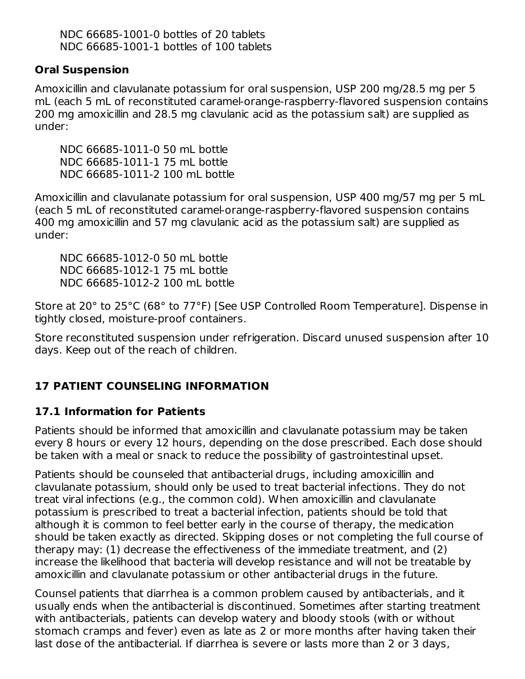NDC 66685-1001-0 bottles of 20 tablets NDC 66685-1001-1 bottles of 100 tablets

#### **Oral Suspension**

Amoxicillin and clavulanate potassium for oral suspension, USP 200 mg/28.5 mg per 5 mL (each 5 mL of reconstituted caramel-orange-raspberry-flavored suspension contains 200 mg amoxicillin and 28.5 mg clavulanic acid as the potassium salt) are supplied as under:

NDC 66685-1011-0 50 mL bottle NDC 66685-1011-1 75 mL bottle NDC 66685-1011-2 100 mL bottle

Amoxicillin and clavulanate potassium for oral suspension, USP 400 mg/57 mg per 5 mL (each 5 mL of reconstituted caramel-orange-raspberry-flavored suspension contains 400 mg amoxicillin and 57 mg clavulanic acid as the potassium salt) are supplied as under:

NDC 66685-1012-0 50 mL bottle NDC 66685-1012-1 75 mL bottle NDC 66685-1012-2 100 mL bottle

Store at 20° to 25°C (68° to 77°F) [See USP Controlled Room Temperature]. Dispense in tightly closed, moisture-proof containers.

Store reconstituted suspension under refrigeration. Discard unused suspension after 10 days. Keep out of the reach of children.

#### **17 PATIENT COUNSELING INFORMATION**

#### **17.1 Information for Patients**

Patients should be informed that amoxicillin and clavulanate potassium may be taken every 8 hours or every 12 hours, depending on the dose prescribed. Each dose should be taken with a meal or snack to reduce the possibility of gastrointestinal upset.

Patients should be counseled that antibacterial drugs, including amoxicillin and clavulanate potassium, should only be used to treat bacterial infections. They do not treat viral infections (e.g., the common cold). When amoxicillin and clavulanate potassium is prescribed to treat a bacterial infection, patients should be told that although it is common to feel better early in the course of therapy, the medication should be taken exactly as directed. Skipping doses or not completing the full course of therapy may: (1) decrease the effectiveness of the immediate treatment, and (2) increase the likelihood that bacteria will develop resistance and will not be treatable by amoxicillin and clavulanate potassium or other antibacterial drugs in the future.

Counsel patients that diarrhea is a common problem caused by antibacterials, and it usually ends when the antibacterial is discontinued. Sometimes after starting treatment with antibacterials, patients can develop watery and bloody stools (with or without stomach cramps and fever) even as late as 2 or more months after having taken their last dose of the antibacterial. If diarrhea is severe or lasts more than 2 or 3 days,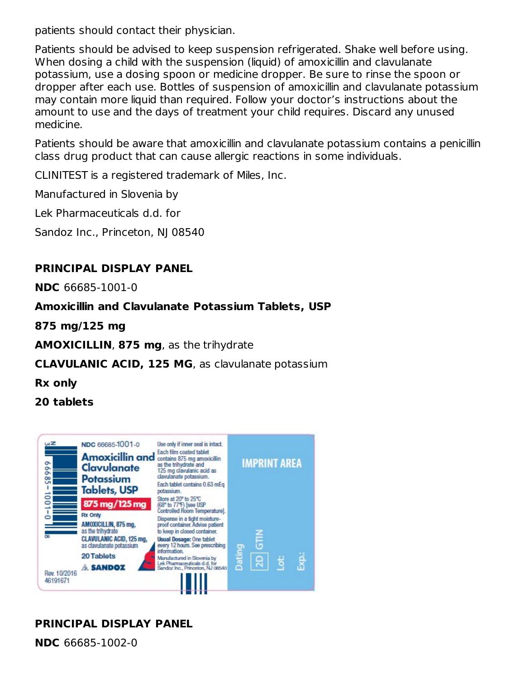patients should contact their physician.

Patients should be advised to keep suspension refrigerated. Shake well before using. When dosing a child with the suspension (liquid) of amoxicillin and clavulanate potassium, use a dosing spoon or medicine dropper. Be sure to rinse the spoon or dropper after each use. Bottles of suspension of amoxicillin and clavulanate potassium may contain more liquid than required. Follow your doctor's instructions about the amount to use and the days of treatment your child requires. Discard any unused medicine.

Patients should be aware that amoxicillin and clavulanate potassium contains a penicillin class drug product that can cause allergic reactions in some individuals.

CLINITEST is a registered trademark of Miles, Inc.

Manufactured in Slovenia by

Lek Pharmaceuticals d.d. for

Sandoz Inc., Princeton, NJ 08540

#### **PRINCIPAL DISPLAY PANEL**

**NDC** 66685-1001-0

#### **Amoxicillin and Clavulanate Potassium Tablets, USP**

**875 mg/125 mg**

**AMOXICILLIN**, **875 mg**, as the trihydrate

#### **CLAVULANIC ACID, 125 MG**, as clavulanate potassium

**Rx only**

**20 tablets**



## **PRINCIPAL DISPLAY PANEL**

**NDC** 66685-1002-0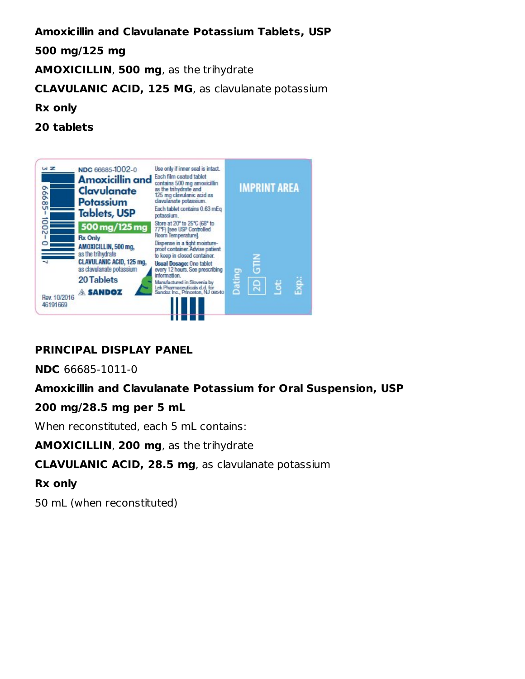#### **Amoxicillin and Clavulanate Potassium Tablets, USP**

#### **500 mg/125 mg**

**AMOXICILLIN**, **500 mg**, as the trihydrate

**CLAVULANIC ACID, 125 MG**, as clavulanate potassium

#### **Rx only**

**20 tablets**



## **PRINCIPAL DISPLAY PANEL**

**NDC** 66685-1011-0

#### **Amoxicillin and Clavulanate Potassium for Oral Suspension, USP**

#### **200 mg/28.5 mg per 5 mL**

When reconstituted, each 5 mL contains:

**AMOXICILLIN**, **200 mg**, as the trihydrate

#### **CLAVULANIC ACID, 28.5 mg**, as clavulanate potassium

#### **Rx only**

50 mL (when reconstituted)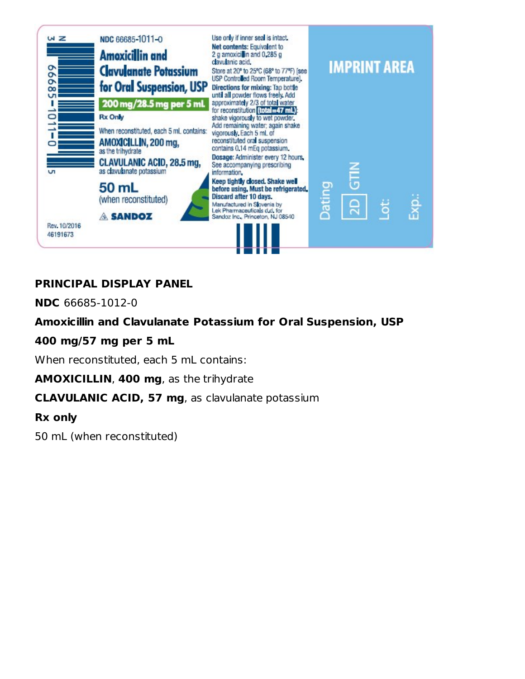

## **PRINCIPAL DISPLAY PANEL**

**NDC** 66685-1012-0

#### **Amoxicillin and Clavulanate Potassium for Oral Suspension, USP**

#### **400 mg/57 mg per 5 mL**

When reconstituted, each 5 mL contains:

**AMOXICILLIN**, **400 mg**, as the trihydrate

**CLAVULANIC ACID, 57 mg**, as clavulanate potassium

**Rx only**

50 mL (when reconstituted)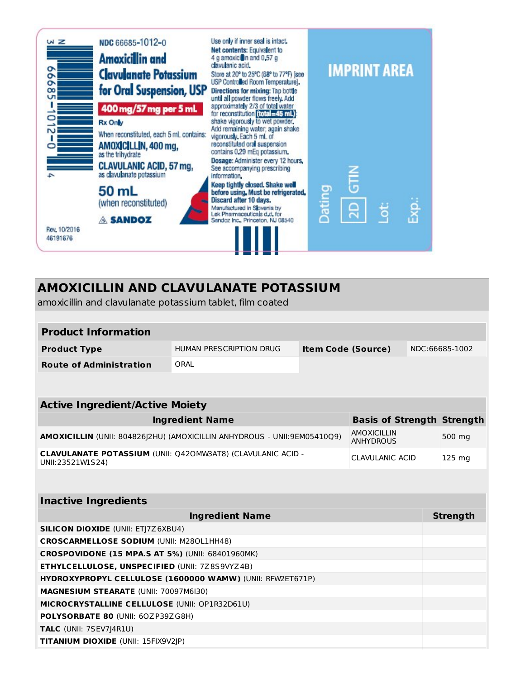

#### **AMOXICILLIN AND CLAVULANATE POTASSIUM** amoxicillin and clavulanate potassium tablet, film coated **Product Information Product Type** HUMAN PRESCRIPTION DRUG **Item Code (Source)** NDC:66685-1002 **Route of Administration** ORAL **Active Ingredient/Active Moiety Ingredient Name Basis of Strength Strength AMOXICILLIN** (UNII: 804826J2HU) (AMOXICILLIN ANHYDROUS - UNII:9EM05410Q9) AMOXICILLIN ANHYDROUS 500 mg **CLAVULANATE POTASSIUM** (UNII: Q42OMW3AT8) (CLAVULANIC ACID - UNII:23521W1S24) CLAVULANIC ACID 125 mg **Inactive Ingredients Ingredient Name Strength Strength SILICON DIOXIDE** (UNII: ETJ7Z6XBU4) **CROSCARMELLOSE SODIUM** (UNII: M28OL1HH48) **CROSPOVIDONE (15 MPA.S AT 5%)** (UNII: 68401960MK) **ETHYLCELLULOSE, UNSPECIFIED** (UNII: 7Z8S9VYZ4B) **HYDROXYPROPYL CELLULOSE (1600000 WAMW)** (UNII: RFW2ET671P) **MAGNESIUM STEARATE** (UNII: 70097M6I30) **MICROCRYSTALLINE CELLULOSE** (UNII: OP1R32D61U) **POLYSORBATE 80** (UNII: 6OZP39ZG8H) **TALC** (UNII: 7SEV7J4R1U) **TITANIUM DIOXIDE** (UNII: 15FIX9V2JP)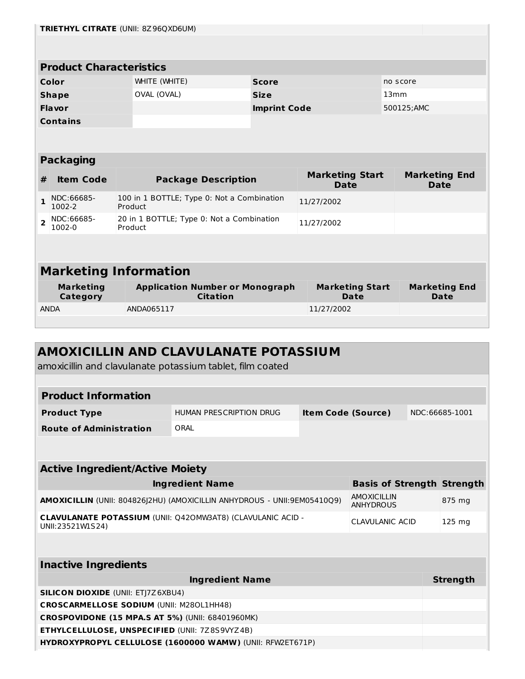| <b>TRIETHYL CITRATE (UNII: 8Z96QXD6UM)</b>                |                                                                                                      |               |                                                           |                                                         |                                       |          |                                     |
|-----------------------------------------------------------|------------------------------------------------------------------------------------------------------|---------------|-----------------------------------------------------------|---------------------------------------------------------|---------------------------------------|----------|-------------------------------------|
|                                                           |                                                                                                      |               |                                                           |                                                         |                                       |          |                                     |
|                                                           | <b>Product Characteristics</b>                                                                       |               |                                                           |                                                         |                                       |          |                                     |
|                                                           | Color                                                                                                | WHITE (WHITE) |                                                           | <b>Score</b>                                            |                                       | no score |                                     |
|                                                           | <b>Shape</b>                                                                                         | OVAL (OVAL)   |                                                           | <b>Size</b>                                             |                                       | 13mm     |                                     |
|                                                           | <b>Flavor</b>                                                                                        |               |                                                           | <b>Imprint Code</b>                                     |                                       |          | 500125;AMC                          |
|                                                           | <b>Contains</b>                                                                                      |               |                                                           |                                                         |                                       |          |                                     |
|                                                           |                                                                                                      |               |                                                           |                                                         |                                       |          |                                     |
|                                                           | <b>Packaging</b>                                                                                     |               |                                                           |                                                         |                                       |          |                                     |
| #                                                         | <b>Item Code</b>                                                                                     |               | <b>Package Description</b>                                |                                                         | <b>Marketing Start</b><br><b>Date</b> |          | <b>Marketing End</b><br><b>Date</b> |
| $\mathbf{1}$                                              | NDC:66685-<br>1002-2                                                                                 | Product       | 100 in 1 BOTTLE; Type 0: Not a Combination                |                                                         | 11/27/2002                            |          |                                     |
| $\overline{2}$                                            | NDC:66685-<br>1002-0                                                                                 | Product       |                                                           | 20 in 1 BOTTLE; Type 0: Not a Combination<br>11/27/2002 |                                       |          |                                     |
|                                                           |                                                                                                      |               |                                                           |                                                         |                                       |          |                                     |
|                                                           | <b>Marketing Information</b>                                                                         |               |                                                           |                                                         |                                       |          |                                     |
|                                                           |                                                                                                      |               |                                                           |                                                         |                                       |          |                                     |
|                                                           | <b>Marketing</b><br>Category                                                                         |               | <b>Application Number or Monograph</b><br><b>Citation</b> |                                                         | <b>Marketing Start</b><br><b>Date</b> |          | <b>Marketing End</b><br><b>Date</b> |
|                                                           | <b>ANDA</b>                                                                                          | ANDA065117    |                                                           |                                                         | 11/27/2002                            |          |                                     |
|                                                           |                                                                                                      |               |                                                           |                                                         |                                       |          |                                     |
|                                                           |                                                                                                      |               |                                                           |                                                         |                                       |          |                                     |
| <b>AMOXICILLIN AND CLAVULANATE POTASSIUM</b>              |                                                                                                      |               |                                                           |                                                         |                                       |          |                                     |
| amoxicillin and clavulanate potassium tablet, film coated |                                                                                                      |               |                                                           |                                                         |                                       |          |                                     |
|                                                           |                                                                                                      |               |                                                           |                                                         |                                       |          |                                     |
| <b>Product Information</b>                                |                                                                                                      |               |                                                           |                                                         |                                       |          |                                     |
|                                                           | <b>HUMAN PRESCRIPTION DRUG</b><br>NDC:66685-1001<br><b>Item Code (Source)</b><br><b>Product Type</b> |               |                                                           |                                                         |                                       |          |                                     |

| <b>Active Ingredient/Active Moiety</b>                                                 |                                   |                  |  |
|----------------------------------------------------------------------------------------|-----------------------------------|------------------|--|
| <b>Ingredient Name</b>                                                                 | <b>Basis of Strength Strength</b> |                  |  |
| AMOXICILLIN (UNII: 804826]2HU) (AMOXICILLIN ANHYDROUS - UNII:9EM05410Q9)               | AMOXICILLIN<br><b>ANHYDROUS</b>   | 875 mg           |  |
| <b>CLAVULANATE POTASSIUM (UNII: Q420MW3AT8) (CLAVULANIC ACID -</b><br>UNII:23521W1S24) | CLAVULANIC ACID                   | $125 \text{ mg}$ |  |
|                                                                                        |                                   |                  |  |

**Route of Administration** ORAL

| <b>Inactive Ingredients</b>                               |                 |
|-----------------------------------------------------------|-----------------|
| <b>Ingredient Name</b>                                    | <b>Strength</b> |
| <b>SILICON DIOXIDE (UNII: ETI7Z6XBU4)</b>                 |                 |
| <b>CROSCARMELLOSE SODIUM (UNII: M280L1HH48)</b>           |                 |
| <b>CROSPOVIDONE (15 MPA.S AT 5%) (UNII: 68401960MK)</b>   |                 |
| <b>ETHYLCELLULOSE, UNSPECIFIED (UNII: 7Z8S9VYZ4B)</b>     |                 |
| HYDROXYPROPYL CELLULOSE (1600000 WAMW) (UNII: RFW2ET671P) |                 |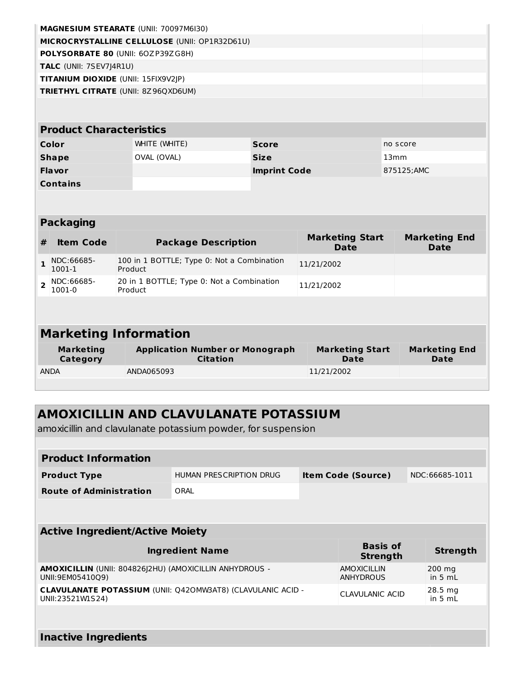|                                        | <b>MAGNESIUM STEARATE (UNII: 70097M6I30)</b>              |                     |                                       |                                     |
|----------------------------------------|-----------------------------------------------------------|---------------------|---------------------------------------|-------------------------------------|
|                                        | MICROCRYSTALLINE CELLULOSE (UNII: OP1R32D61U)             |                     |                                       |                                     |
|                                        | POLYSORBATE 80 (UNII: 60ZP39ZG8H)                         |                     |                                       |                                     |
| TALC (UNII: 7SEV7J4R1U)                |                                                           |                     |                                       |                                     |
| TITANIUM DIOXIDE (UNII: 15FIX9V2JP)    |                                                           |                     |                                       |                                     |
|                                        | TRIETHYL CITRATE (UNII: 8Z96QXD6UM)                       |                     |                                       |                                     |
|                                        |                                                           |                     |                                       |                                     |
| <b>Product Characteristics</b>         |                                                           |                     |                                       |                                     |
| Color                                  | WHITE (WHITE)                                             | <b>Score</b>        |                                       | no score                            |
| <b>Shape</b>                           | OVAL (OVAL)                                               | <b>Size</b>         |                                       | 13mm                                |
| <b>Flavor</b>                          |                                                           | <b>Imprint Code</b> |                                       | 875125;AMC                          |
| <b>Contains</b>                        |                                                           |                     |                                       |                                     |
|                                        |                                                           |                     |                                       |                                     |
| <b>Packaging</b>                       |                                                           |                     |                                       |                                     |
|                                        |                                                           |                     |                                       |                                     |
| <b>Item Code</b><br>#                  | <b>Package Description</b>                                |                     | <b>Marketing Start</b><br><b>Date</b> | <b>Marketing End</b><br><b>Date</b> |
| NDC:66685-<br>$\mathbf{1}$<br>1001-1   | 100 in 1 BOTTLE; Type 0: Not a Combination<br>Product     |                     | 11/21/2002                            |                                     |
| NDC:66685-<br>$\overline{2}$<br>1001-0 | 20 in 1 BOTTLE; Type 0: Not a Combination<br>Product      |                     | 11/21/2002                            |                                     |
|                                        |                                                           |                     |                                       |                                     |
|                                        |                                                           |                     |                                       |                                     |
|                                        | <b>Marketing Information</b>                              |                     |                                       |                                     |
| <b>Marketing</b><br>Category           | <b>Application Number or Monograph</b><br><b>Citation</b> |                     | <b>Marketing Start</b><br><b>Date</b> | <b>Marketing End</b><br><b>Date</b> |

## **AMOXICILLIN AND CLAVULANATE POTASSIUM**

amoxicillin and clavulanate potassium powder, for suspension

**Inactive Ingredients**

| <b>Product Information</b>                                                             |                         |                                        |                                |
|----------------------------------------------------------------------------------------|-------------------------|----------------------------------------|--------------------------------|
| <b>Product Type</b>                                                                    | HUMAN PRESCRIPTION DRUG | <b>Item Code (Source)</b>              | NDC:66685-1011                 |
| <b>Route of Administration</b>                                                         | ORAL                    |                                        |                                |
|                                                                                        |                         |                                        |                                |
| <b>Active Ingredient/Active Moiety</b>                                                 |                         |                                        |                                |
|                                                                                        |                         |                                        |                                |
|                                                                                        | <b>Ingredient Name</b>  | <b>Basis of</b><br><b>Strength</b>     | <b>Strength</b>                |
| AMOXICILLIN (UNII: 804826 2HU) (AMOXICILLIN ANHYDROUS -<br>UNII:9EM05410Q9)            |                         | <b>AMOXICILLIN</b><br><b>ANHYDROUS</b> | 200 mg<br>in $5 mL$            |
| <b>CLAVULANATE POTASSIUM (UNII: Q420MW3AT8) (CLAVULANIC ACID -</b><br>UNII:23521W1S24) |                         | CLAVULANIC ACID                        | $28.5 \text{ mg}$<br>in $5 mL$ |
|                                                                                        |                         |                                        |                                |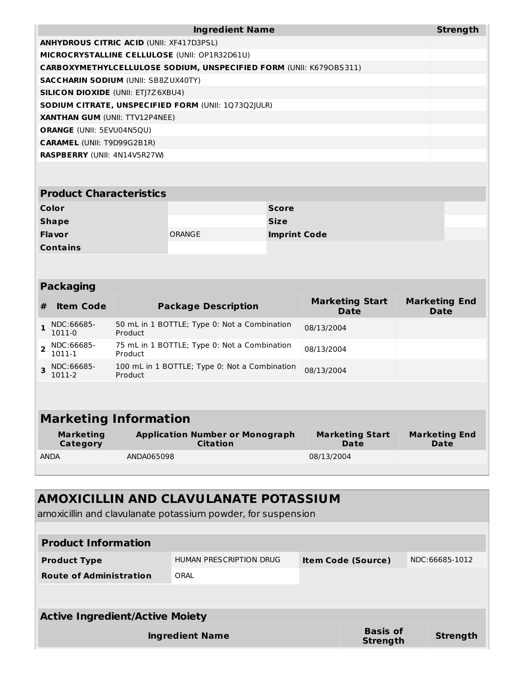| <b>Ingredient Name</b>                                             | <b>Strength</b> |
|--------------------------------------------------------------------|-----------------|
| <b>ANHYDROUS CITRIC ACID (UNII: XF417D3PSL)</b>                    |                 |
| <b>MICROCRYSTALLINE CELLULOSE (UNII: OP1R32D61U)</b>               |                 |
| CARBOXYMETHYLCELLULOSE SODIUM, UNSPECIFIED FORM (UNII: K6790BS311) |                 |
| <b>SACCHARIN SODIUM (UNII: SB8ZUX40TY)</b>                         |                 |
| <b>SILICON DIOXIDE (UNII: ETI7Z6XBU4)</b>                          |                 |
| <b>SODIUM CITRATE, UNSPECIFIED FORM (UNII: 107302 ULR)</b>         |                 |
| <b>XANTHAN GUM (UNII: TTV12P4NEE)</b>                              |                 |
| <b>ORANGE (UNII: 5EVU04N5OU)</b>                                   |                 |
| <b>CARAMEL (UNII: T9D99G2B1R)</b>                                  |                 |
| <b>RASPBERRY (UNII: 4N14V5R27W)</b>                                |                 |

| <b>Product Characteristics</b> |        |                     |  |
|--------------------------------|--------|---------------------|--|
| Color                          |        | <b>Score</b>        |  |
| <b>Shape</b>                   |        | <b>Size</b>         |  |
| <b>Flavor</b>                  | ORANGE | <b>Imprint Code</b> |  |
| <b>Contains</b>                |        |                     |  |

#### **Packaging**

| <b>Item Code</b>     | <b>Package Description</b>                               | <b>Marketing Start</b><br><b>Date</b> | <b>Marketing End</b><br><b>Date</b> |
|----------------------|----------------------------------------------------------|---------------------------------------|-------------------------------------|
| NDC:66685-<br>1011-0 | 50 mL in 1 BOTTLE; Type 0: Not a Combination<br>Product  | 08/13/2004                            |                                     |
| NDC:66685-<br>1011-1 | 75 mL in 1 BOTTLE; Type 0: Not a Combination<br>Product  | 08/13/2004                            |                                     |
| NDC:66685-<br>1011-2 | 100 mL in 1 BOTTLE; Type 0: Not a Combination<br>Product | 08/13/2004                            |                                     |
|                      |                                                          |                                       |                                     |

# **Marketing Information**

| Marketing   | <b>Application Number or Monograph</b> | <b>Marketing Start</b> | <b>Marketing End</b> |
|-------------|----------------------------------------|------------------------|----------------------|
| Category    | <b>Citation</b>                        | Date                   | Date                 |
| <b>ANDA</b> | ANDA065098                             | 08/13/2004             |                      |

## **AMOXICILLIN AND CLAVULANATE POTASSIUM**

amoxicillin and clavulanate potassium powder, for suspension

| <b>Product Information</b>             |                         |  |                                    |                 |  |
|----------------------------------------|-------------------------|--|------------------------------------|-----------------|--|
| <b>Product Type</b>                    | HUMAN PRESCRIPTION DRUG |  | <b>Item Code (Source)</b>          | NDC:66685-1012  |  |
| <b>Route of Administration</b>         | ORAL                    |  |                                    |                 |  |
|                                        |                         |  |                                    |                 |  |
| <b>Active Ingredient/Active Moiety</b> |                         |  |                                    |                 |  |
|                                        | <b>Ingredient Name</b>  |  | <b>Basis of</b><br><b>Strength</b> | <b>Strength</b> |  |